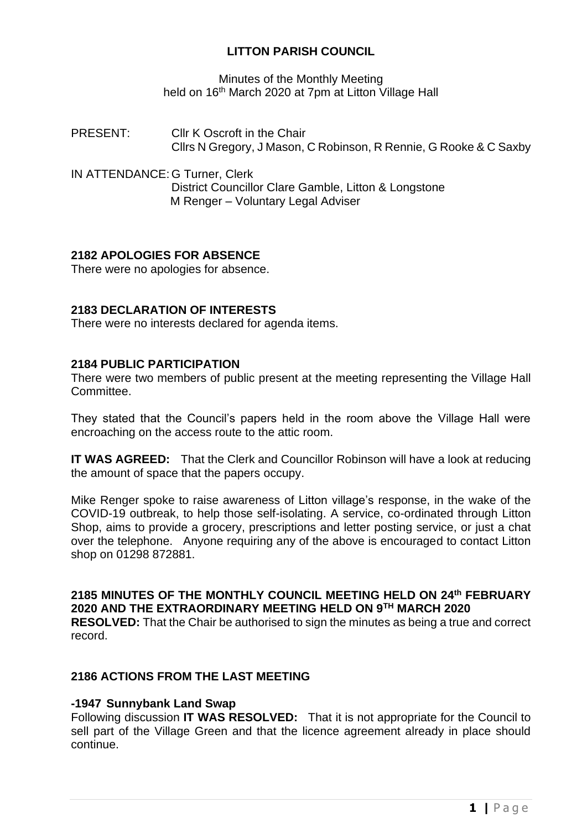## **LITTON PARISH COUNCIL**

Minutes of the Monthly Meeting held on 16<sup>th</sup> March 2020 at 7pm at Litton Village Hall

PRESENT: Cllr K Oscroft in the Chair Cllrs N Gregory, J Mason, C Robinson, R Rennie, G Rooke & C Saxby

IN ATTENDANCE: G Turner, Clerk District Councillor Clare Gamble, Litton & Longstone M Renger – Voluntary Legal Adviser

## **2182 APOLOGIES FOR ABSENCE**

There were no apologies for absence.

### **2183 DECLARATION OF INTERESTS**

There were no interests declared for agenda items.

### **2184 PUBLIC PARTICIPATION**

There were two members of public present at the meeting representing the Village Hall Committee.

They stated that the Council's papers held in the room above the Village Hall were encroaching on the access route to the attic room.

**IT WAS AGREED:** That the Clerk and Councillor Robinson will have a look at reducing the amount of space that the papers occupy.

Mike Renger spoke to raise awareness of Litton village's response, in the wake of the COVID-19 outbreak, to help those self-isolating. A service, co-ordinated through Litton Shop, aims to provide a grocery, prescriptions and letter posting service, or just a chat over the telephone. Anyone requiring any of the above is encouraged to contact Litton shop on 01298 872881.

**2185 MINUTES OF THE MONTHLY COUNCIL MEETING HELD ON 24th FEBRUARY 2020 AND THE EXTRAORDINARY MEETING HELD ON 9TH MARCH 2020 RESOLVED:** That the Chair be authorised to sign the minutes as being a true and correct record.

## **2186 ACTIONS FROM THE LAST MEETING**

#### **-1947 Sunnybank Land Swap**

Following discussion **IT WAS RESOLVED:** That it is not appropriate for the Council to sell part of the Village Green and that the licence agreement already in place should continue.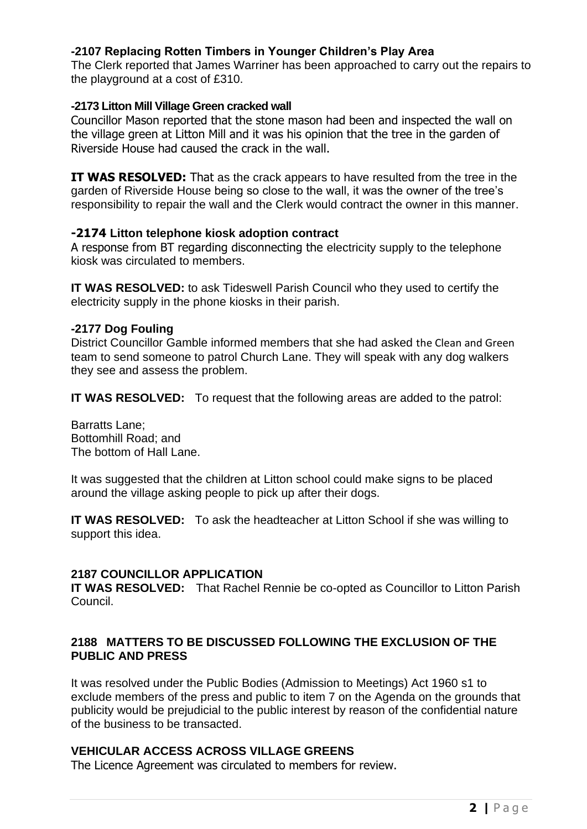## **-2107 Replacing Rotten Timbers in Younger Children's Play Area**

The Clerk reported that James Warriner has been approached to carry out the repairs to the playground at a cost of £310.

#### **-2173 Litton Mill Village Green cracked wall**

Councillor Mason reported that the stone mason had been and inspected the wall on the village green at Litton Mill and it was his opinion that the tree in the garden of Riverside House had caused the crack in the wall.

**IT WAS RESOLVED:** That as the crack appears to have resulted from the tree in the garden of Riverside House being so close to the wall, it was the owner of the tree's responsibility to repair the wall and the Clerk would contract the owner in this manner.

### **-2174 Litton telephone kiosk adoption contract**

A response from BT regarding disconnecting the electricity supply to the telephone kiosk was circulated to members.

**IT WAS RESOLVED:** to ask Tideswell Parish Council who they used to certify the electricity supply in the phone kiosks in their parish.

#### **-2177 Dog Fouling**

District Councillor Gamble informed members that she had asked the Clean and Green team to send someone to patrol Church Lane. They will speak with any dog walkers they see and assess the problem.

**IT WAS RESOLVED:** To request that the following areas are added to the patrol:

Barratts Lane; Bottomhill Road; and The bottom of Hall Lane.

It was suggested that the children at Litton school could make signs to be placed around the village asking people to pick up after their dogs.

**IT WAS RESOLVED:** To ask the headteacher at Litton School if she was willing to support this idea.

### **2187 COUNCILLOR APPLICATION**

**IT WAS RESOLVED:** That Rachel Rennie be co-opted as Councillor to Litton Parish Council.

### **2188 MATTERS TO BE DISCUSSED FOLLOWING THE EXCLUSION OF THE PUBLIC AND PRESS**

It was resolved under the Public Bodies (Admission to Meetings) Act 1960 s1 to exclude members of the press and public to item 7 on the Agenda on the grounds that publicity would be prejudicial to the public interest by reason of the confidential nature of the business to be transacted.

## **VEHICULAR ACCESS ACROSS VILLAGE GREENS**

The Licence Agreement was circulated to members for review.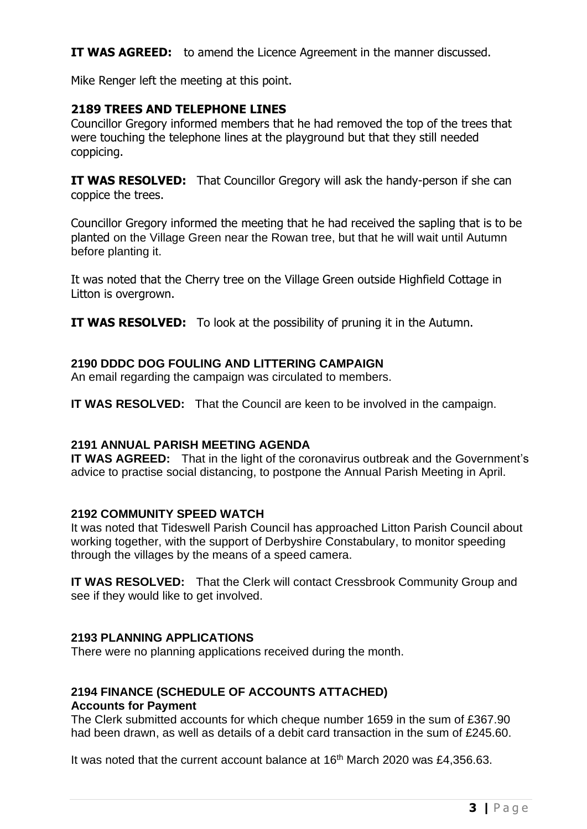**IT WAS AGREED:** to amend the Licence Agreement in the manner discussed.

Mike Renger left the meeting at this point.

# **2189 TREES AND TELEPHONE LINES**

Councillor Gregory informed members that he had removed the top of the trees that were touching the telephone lines at the playground but that they still needed coppicing.

**IT WAS RESOLVED:** That Councillor Gregory will ask the handy-person if she can coppice the trees.

Councillor Gregory informed the meeting that he had received the sapling that is to be planted on the Village Green near the Rowan tree, but that he will wait until Autumn before planting it.

It was noted that the Cherry tree on the Village Green outside Highfield Cottage in Litton is overgrown.

**IT WAS RESOLVED:** To look at the possibility of pruning it in the Autumn.

## **2190 DDDC DOG FOULING AND LITTERING CAMPAIGN**

An email regarding the campaign was circulated to members.

**IT WAS RESOLVED:** That the Council are keen to be involved in the campaign.

## **2191 ANNUAL PARISH MEETING AGENDA**

**IT WAS AGREED:** That in the light of the coronavirus outbreak and the Government's advice to practise social distancing, to postpone the Annual Parish Meeting in April.

### **2192 COMMUNITY SPEED WATCH**

It was noted that Tideswell Parish Council has approached Litton Parish Council about working together, with the support of Derbyshire Constabulary, to monitor speeding through the villages by the means of a speed camera.

**IT WAS RESOLVED:** That the Clerk will contact Cressbrook Community Group and see if they would like to get involved.

## **2193 PLANNING APPLICATIONS**

There were no planning applications received during the month.

# **2194 FINANCE (SCHEDULE OF ACCOUNTS ATTACHED)**

# **Accounts for Payment**

The Clerk submitted accounts for which cheque number 1659 in the sum of £367.90 had been drawn, as well as details of a debit card transaction in the sum of £245.60.

It was noted that the current account balance at  $16<sup>th</sup>$  March 2020 was £4,356.63.